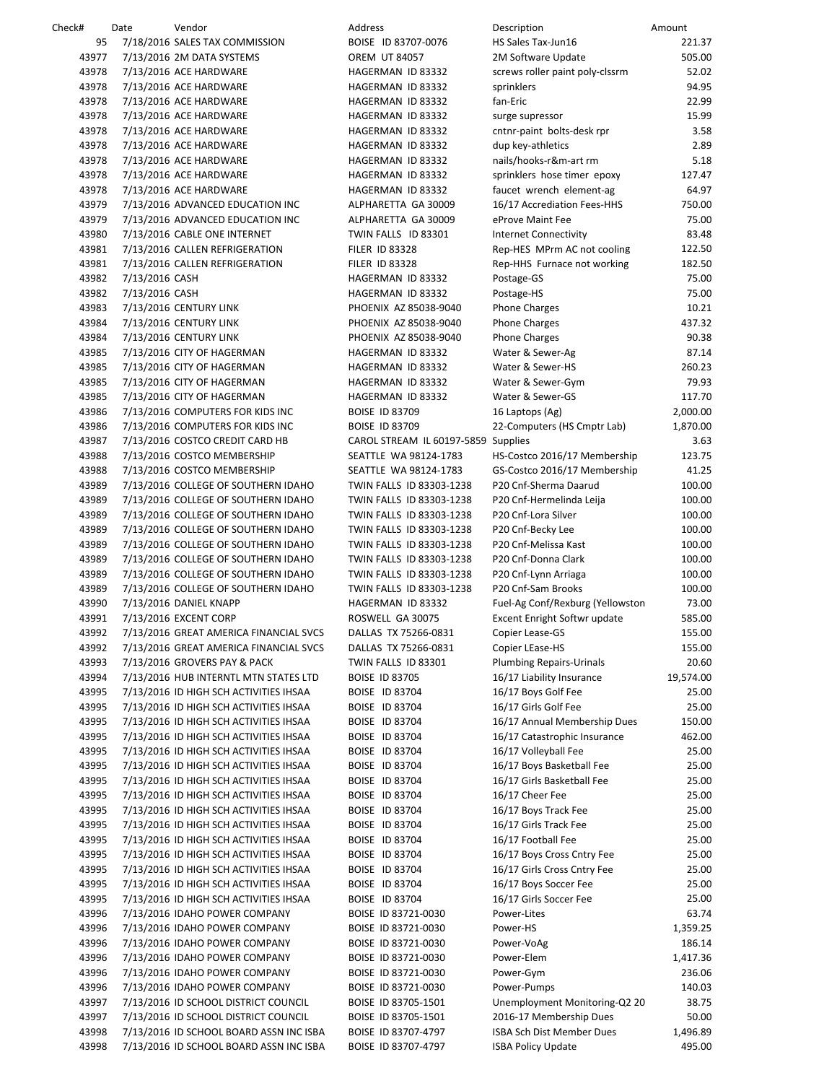| Check# | Date           | Vendor                                  | Address                             | Description                         | Amount    |
|--------|----------------|-----------------------------------------|-------------------------------------|-------------------------------------|-----------|
| 95     |                | 7/18/2016 SALES TAX COMMISSION          | BOISE ID 83707-0076                 | HS Sales Tax-Jun16                  | 221.37    |
| 43977  |                | 7/13/2016 2M DATA SYSTEMS               | <b>OREM UT 84057</b>                | 2M Software Update                  | 505.00    |
| 43978  |                | 7/13/2016 ACE HARDWARE                  | HAGERMAN ID 83332                   | screws roller paint poly-clssrm     | 52.02     |
| 43978  |                | 7/13/2016 ACE HARDWARE                  | HAGERMAN ID 83332                   | sprinklers                          | 94.95     |
| 43978  |                |                                         |                                     | fan-Eric                            | 22.99     |
|        |                | 7/13/2016 ACE HARDWARE                  | HAGERMAN ID 83332                   |                                     |           |
| 43978  |                | 7/13/2016 ACE HARDWARE                  | HAGERMAN ID 83332                   | surge supressor                     | 15.99     |
| 43978  |                | 7/13/2016 ACE HARDWARE                  | HAGERMAN ID 83332                   | cntnr-paint bolts-desk rpr          | 3.58      |
| 43978  |                | 7/13/2016 ACE HARDWARE                  | HAGERMAN ID 83332                   | dup key-athletics                   | 2.89      |
| 43978  |                | 7/13/2016 ACE HARDWARE                  | HAGERMAN ID 83332                   | nails/hooks-r&m-art rm              | 5.18      |
| 43978  |                | 7/13/2016 ACE HARDWARE                  | HAGERMAN ID 83332                   | sprinklers hose timer epoxy         | 127.47    |
| 43978  |                | 7/13/2016 ACE HARDWARE                  | HAGERMAN ID 83332                   | faucet wrench element-ag            | 64.97     |
| 43979  |                | 7/13/2016 ADVANCED EDUCATION INC        | ALPHARETTA GA 30009                 | 16/17 Accrediation Fees-HHS         | 750.00    |
| 43979  |                |                                         | ALPHARETTA GA 30009                 | eProve Maint Fee                    | 75.00     |
|        |                | 7/13/2016 ADVANCED EDUCATION INC        |                                     |                                     |           |
| 43980  |                | 7/13/2016 CABLE ONE INTERNET            | TWIN FALLS ID 83301                 | <b>Internet Connectivity</b>        | 83.48     |
| 43981  |                | 7/13/2016 CALLEN REFRIGERATION          | <b>FILER ID 83328</b>               | Rep-HES MPrm AC not cooling         | 122.50    |
| 43981  |                | 7/13/2016 CALLEN REFRIGERATION          | <b>FILER ID 83328</b>               | Rep-HHS Furnace not working         | 182.50    |
| 43982  | 7/13/2016 CASH |                                         | HAGERMAN ID 83332                   | Postage-GS                          | 75.00     |
| 43982  | 7/13/2016 CASH |                                         | HAGERMAN ID 83332                   | Postage-HS                          | 75.00     |
| 43983  |                | 7/13/2016 CENTURY LINK                  | PHOENIX AZ 85038-9040               | <b>Phone Charges</b>                | 10.21     |
| 43984  |                | 7/13/2016 CENTURY LINK                  | PHOENIX AZ 85038-9040               | <b>Phone Charges</b>                | 437.32    |
|        |                |                                         |                                     |                                     |           |
| 43984  |                | 7/13/2016 CENTURY LINK                  | PHOENIX AZ 85038-9040               | <b>Phone Charges</b>                | 90.38     |
| 43985  |                | 7/13/2016 CITY OF HAGERMAN              | HAGERMAN ID 83332                   | Water & Sewer-Ag                    | 87.14     |
| 43985  |                | 7/13/2016 CITY OF HAGERMAN              | HAGERMAN ID 83332                   | Water & Sewer-HS                    | 260.23    |
| 43985  |                | 7/13/2016 CITY OF HAGERMAN              | HAGERMAN ID 83332                   | Water & Sewer-Gym                   | 79.93     |
| 43985  |                | 7/13/2016 CITY OF HAGERMAN              | HAGERMAN ID 83332                   | Water & Sewer-GS                    | 117.70    |
| 43986  |                | 7/13/2016 COMPUTERS FOR KIDS INC        | <b>BOISE ID 83709</b>               | 16 Laptops (Ag)                     | 2,000.00  |
| 43986  |                | 7/13/2016 COMPUTERS FOR KIDS INC        | <b>BOISE ID 83709</b>               | 22-Computers (HS Cmptr Lab)         | 1,870.00  |
| 43987  |                | 7/13/2016 COSTCO CREDIT CARD HB         | CAROL STREAM IL 60197-5859 Supplies |                                     | 3.63      |
|        |                |                                         |                                     |                                     |           |
| 43988  |                | 7/13/2016 COSTCO MEMBERSHIP             | SEATTLE WA 98124-1783               | HS-Costco 2016/17 Membership        | 123.75    |
| 43988  |                | 7/13/2016 COSTCO MEMBERSHIP             | SEATTLE WA 98124-1783               | GS-Costco 2016/17 Membership        | 41.25     |
| 43989  |                | 7/13/2016 COLLEGE OF SOUTHERN IDAHO     | TWIN FALLS ID 83303-1238            | P20 Cnf-Sherma Daarud               | 100.00    |
| 43989  |                | 7/13/2016 COLLEGE OF SOUTHERN IDAHO     | TWIN FALLS ID 83303-1238            | P20 Cnf-Hermelinda Leija            | 100.00    |
| 43989  |                | 7/13/2016 COLLEGE OF SOUTHERN IDAHO     | TWIN FALLS ID 83303-1238            | P20 Cnf-Lora Silver                 | 100.00    |
| 43989  |                | 7/13/2016 COLLEGE OF SOUTHERN IDAHO     | TWIN FALLS ID 83303-1238            | P20 Cnf-Becky Lee                   | 100.00    |
| 43989  |                | 7/13/2016 COLLEGE OF SOUTHERN IDAHO     | TWIN FALLS ID 83303-1238            | P20 Cnf-Melissa Kast                | 100.00    |
|        |                |                                         |                                     | P20 Cnf-Donna Clark                 |           |
| 43989  |                | 7/13/2016 COLLEGE OF SOUTHERN IDAHO     | TWIN FALLS ID 83303-1238            |                                     | 100.00    |
| 43989  |                | 7/13/2016 COLLEGE OF SOUTHERN IDAHO     | TWIN FALLS ID 83303-1238            | P20 Cnf-Lynn Arriaga                | 100.00    |
| 43989  |                | 7/13/2016 COLLEGE OF SOUTHERN IDAHO     | TWIN FALLS ID 83303-1238            | P20 Cnf-Sam Brooks                  | 100.00    |
| 43990  |                | 7/13/2016 DANIEL KNAPP                  | HAGERMAN ID 83332                   | Fuel-Ag Conf/Rexburg (Yellowston    | 73.00     |
| 43991  |                | 7/13/2016 EXCENT CORP                   | ROSWELL GA 30075                    | <b>Excent Enright Softwr update</b> | 585.00    |
| 43992  |                | 7/13/2016 GREAT AMERICA FINANCIAL SVCS  | DALLAS TX 75266-0831                | Copier Lease-GS                     | 155.00    |
| 43992  |                | 7/13/2016 GREAT AMERICA FINANCIAL SVCS  | DALLAS TX 75266-0831                | Copier LEase-HS                     | 155.00    |
| 43993  |                | 7/13/2016 GROVERS PAY & PACK            | TWIN FALLS ID 83301                 | <b>Plumbing Repairs-Urinals</b>     | 20.60     |
|        |                |                                         |                                     |                                     |           |
| 43994  |                | 7/13/2016 HUB INTERNTL MTN STATES LTD   | <b>BOISE ID 83705</b>               | 16/17 Liability Insurance           | 19,574.00 |
| 43995  |                | 7/13/2016 ID HIGH SCH ACTIVITIES IHSAA  | BOISE ID 83704                      | 16/17 Boys Golf Fee                 | 25.00     |
| 43995  |                | 7/13/2016 ID HIGH SCH ACTIVITIES IHSAA  | <b>BOISE ID 83704</b>               | 16/17 Girls Golf Fee                | 25.00     |
| 43995  |                | 7/13/2016 ID HIGH SCH ACTIVITIES IHSAA  | <b>BOISE ID 83704</b>               | 16/17 Annual Membership Dues        | 150.00    |
| 43995  |                | 7/13/2016 ID HIGH SCH ACTIVITIES IHSAA  | <b>BOISE ID 83704</b>               | 16/17 Catastrophic Insurance        | 462.00    |
| 43995  |                | 7/13/2016 ID HIGH SCH ACTIVITIES IHSAA  | <b>BOISE ID 83704</b>               | 16/17 Volleyball Fee                | 25.00     |
| 43995  |                | 7/13/2016 ID HIGH SCH ACTIVITIES IHSAA  | BOISE ID 83704                      | 16/17 Boys Basketball Fee           | 25.00     |
| 43995  |                | 7/13/2016 ID HIGH SCH ACTIVITIES IHSAA  | BOISE ID 83704                      | 16/17 Girls Basketball Fee          | 25.00     |
|        |                |                                         |                                     |                                     |           |
| 43995  |                | 7/13/2016 ID HIGH SCH ACTIVITIES IHSAA  | BOISE ID 83704                      | 16/17 Cheer Fee                     | 25.00     |
| 43995  |                | 7/13/2016 ID HIGH SCH ACTIVITIES IHSAA  | <b>BOISE ID 83704</b>               | 16/17 Boys Track Fee                | 25.00     |
| 43995  |                | 7/13/2016 ID HIGH SCH ACTIVITIES IHSAA  | BOISE ID 83704                      | 16/17 Girls Track Fee               | 25.00     |
| 43995  |                | 7/13/2016 ID HIGH SCH ACTIVITIES IHSAA  | BOISE ID 83704                      | 16/17 Football Fee                  | 25.00     |
| 43995  |                | 7/13/2016 ID HIGH SCH ACTIVITIES IHSAA  | BOISE ID 83704                      | 16/17 Boys Cross Cntry Fee          | 25.00     |
| 43995  |                | 7/13/2016 ID HIGH SCH ACTIVITIES IHSAA  | BOISE ID 83704                      | 16/17 Girls Cross Cntry Fee         | 25.00     |
| 43995  |                | 7/13/2016 ID HIGH SCH ACTIVITIES IHSAA  | BOISE ID 83704                      | 16/17 Boys Soccer Fee               | 25.00     |
|        |                |                                         |                                     |                                     |           |
| 43995  |                | 7/13/2016 ID HIGH SCH ACTIVITIES IHSAA  | BOISE ID 83704                      | 16/17 Girls Soccer Fee              | 25.00     |
| 43996  |                | 7/13/2016 IDAHO POWER COMPANY           | BOISE ID 83721-0030                 | Power-Lites                         | 63.74     |
| 43996  |                | 7/13/2016 IDAHO POWER COMPANY           | BOISE ID 83721-0030                 | Power-HS                            | 1,359.25  |
| 43996  |                | 7/13/2016 IDAHO POWER COMPANY           | BOISE ID 83721-0030                 | Power-VoAg                          | 186.14    |
| 43996  |                | 7/13/2016 IDAHO POWER COMPANY           | BOISE ID 83721-0030                 | Power-Elem                          | 1,417.36  |
| 43996  |                | 7/13/2016 IDAHO POWER COMPANY           | BOISE ID 83721-0030                 | Power-Gym                           | 236.06    |
| 43996  |                | 7/13/2016 IDAHO POWER COMPANY           | BOISE ID 83721-0030                 | Power-Pumps                         | 140.03    |
|        |                |                                         |                                     |                                     |           |
| 43997  |                | 7/13/2016 ID SCHOOL DISTRICT COUNCIL    | BOISE ID 83705-1501                 | Unemployment Monitoring-Q2 20       | 38.75     |
| 43997  |                | 7/13/2016 ID SCHOOL DISTRICT COUNCIL    | BOISE ID 83705-1501                 | 2016-17 Membership Dues             | 50.00     |
| 43998  |                | 7/13/2016 ID SCHOOL BOARD ASSN INC ISBA | BOISE ID 83707-4797                 | ISBA Sch Dist Member Dues           | 1,496.89  |
| 43998  |                | 7/13/2016 ID SCHOOL BOARD ASSN INC ISBA | BOISE ID 83707-4797                 | <b>ISBA Policy Update</b>           | 495.00    |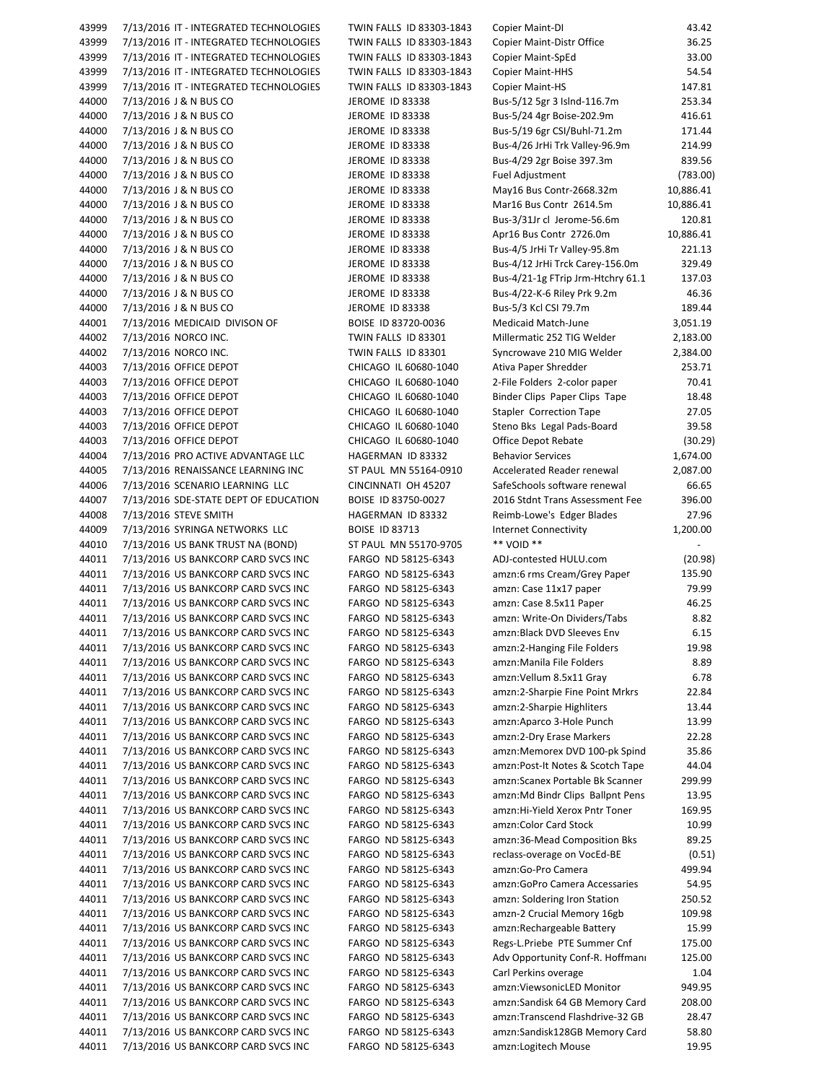43999 7/13/2016 IT ‐ INTEGRATED TECHNOLOGIES TWIN FALLS ID 83303‐1843 Copier Maint‐DI 43.42 43999 7/13/2016 IT - INTEGRATED TECHNOLOGIES TWIN FALLS ID 83303-1843 Copier Maint-Distr Office 36.25 43999 7/13/2016 IT - INTEGRATED TECHNOLOGIES TWIN FALLS ID 83303-1843 Copier Maint-SpEd 33.00 43999 7/13/2016 IT - INTEGRATED TECHNOLOGIES TWIN FALLS ID 83303-1843 Copier Maint-HHS 54.54 43999 7/13/2016 IT - INTEGRATED TECHNOLOGIES TWIN FALLS ID 83303-1843 Copier Maint-HS 147.81 44000 7/13/2016 J & N BUS CO JEROME ID 83338 Bus-5/12 5gr 3 Islnd-116.7m 253.34 44000 7/13/2016 J & N BUS CO JEROME ID 83338 Bus-5/24 4gr Boise-202.9m 416.61 44000 7/13/2016 J & N BUS CO JEROME ID 83338 Bus-5/19 6gr CSI/Buhl-71.2m 171.44 44000 7/13/2016 J & N BUS CO JEROME ID 83338 Bus-4/26 JrHi Trk Valley-96.9m 214.99 44000 7/13/2016 J & N BUS CO JEROME ID 83338 Bus-4/29 2gr Boise 397.3m 839.56 44000 7/13/2016 J & N BUS CO JEROME ID 83338 Fuel Adjustment (783.00) 44000 7/13/2016 J & N BUS CO JEROME ID 83338 May16 Bus Contr-2668.32m 10,886.41 44000 7/13/2016 J & N BUS CO JEROME ID 83338 Mar16 Bus Contr 2614.5m 10,886.41 44000 7/13/2016 J & N BUS CO JEROME ID 83338 Bus-3/31Jr cl Jerome-56.6m 120.81 44000 7/13/2016 J & N BUS CO 37 38 JEROME ID 83338 Apr16 Bus Contr 2726.0m 10,886.41 44000 7/13/2016 J & N BUS CO JEROME ID 83338 Bus‐4/5 JrHi Tr Valley‐95.8m 221.13 44000 7/13/2016 J & N BUS CO JEROME ID 83338 Bus‐4/12 JrHi Trck Carey‐156.0m 329.49 44000 7/13/2016 J & N BUS CO JEROME ID 83338 Bus-4/21-1g FTrip Jrm-Htchry 61.1 137.03 44000 7/13/2016 J & N BUS CO JEROME ID 83338 Bus-4/22-K-6 Riley Prk 9.2m 46.36 44000 7/13/2016 J & N BUS CO JEROME ID 83338 Bus-5/3 Kcl CSI 79.7m 189.44 44001 7/13/2016 MEDICAID DIVISON OF BOISE ID 83720‐0036 Medicaid Match‐June 3,051.19 44002 7/13/2016 NORCO INC. TWIN FALLS ID 83301 Millermatic 252 TIG Welder 2,183.00 44002 7/13/2016 NORCO INC. TWIN FALLS ID 83301 Syncrowave 210 MIG Welder 2,384.00 44003 7/13/2016 OFFICE DEPOT CHICAGO IL 60680‐1040 Ativa Paper Shredder 253.71 44003 7/13/2016 OFFICE DEPOT CHICAGO IL 60680-1040 2-File Folders 2-color paper 70.41 44003 7/13/2016 OFFICE DEPOT CHICAGO IL 60680-1040 Binder Clips Paper Clips Tape 18.48 44003 7/13/2016 OFFICE DEPOT CHICAGO IL 60680-1040 Stapler Correction Tape 27.05 44003 7/13/2016 OFFICE DEPOT CHICAGO IL 60680-1040 Steno Bks Legal Pads-Board 39.58 44003 7/13/2016 OFFICE DEPOT CHICAGO IL 60680‐1040 Office Depot Rebate (30.29) 44004 7/13/2016 PRO ACTIVE ADVANTAGE LLC HAGERMAN ID 83332 Behavior Services 1,674.00 44005 7/13/2016 RENAISSANCE LEARNING INC ST PAUL MN 55164‐0910 Accelerated Reader renewal 2,087.00 44006 7/13/2016 SCENARIO LEARNING LLC CINCINNATI OH 45207 SafeSchools software renewal 66.65 44007 7/13/2016 SDE‐STATE DEPT OF EDUCATION BOISE ID 83750‐0027 2016 Stdnt Trans Assessment Fee 396.00 44008 7/13/2016 STEVE SMITH HAGERMAN ID 83332 Reimb-Lowe's Edger Blades 27.96 44009 7/13/2016 SYRINGA NETWORKS LLC BOISE ID 83713 Internet Connectivity 1,200.00 44010 7/13/2016 US BANK TRUST NA (BOND) ST PAUL MN 55170-9705 \*\* VOID \*\* 44011 7/13/2016 US BANKCORP CARD SVCS INC FARGO ND 58125‐6343 ADJ‐contested HULU.com (20.98) 44011 7/13/2016 US BANKCORP CARD SVCS INC FARGO ND 58125‐6343 amzn:6 rms Cream/Grey Paper 135.90 44011 7/13/2016 US BANKCORP CARD SVCS INC FARGO ND 58125‐6343 amzn: Case 11x17 paper 79.99 44011 7/13/2016 US BANKCORP CARD SVCS INC FARGO ND 58125‐6343 amzn: Case 8.5x11 Paper 46.25 44011 7/13/2016 US BANKCORP CARD SVCS INC FARGO ND 58125‐6343 amzn: Write‐On Dividers/Tabs 8.82 44011 7/13/2016 US BANKCORP CARD SVCS INC FARGO ND 58125‐6343 amzn:Black DVD Sleeves Env 6.15 44011 7/13/2016 US BANKCORP CARD SVCS INC FARGO ND 58125‐6343 amzn:2‐Hanging File Folders 19.98 44011 7/13/2016 US BANKCORP CARD SVCS INC FARGO ND 58125‐6343 amzn:Manila File Folders 8.89 44011 7/13/2016 US BANKCORP CARD SVCS INC FARGO ND 58125‐6343 amzn:Vellum 8.5x11 Gray 6.78 44011 7/13/2016 US BANKCORP CARD SVCS INC FARGO ND 58125‐6343 amzn:2‐Sharpie Fine Point Mrkrs 22.84 44011 7/13/2016 US BANKCORP CARD SVCS INC FARGO ND 58125‐6343 amzn:2‐Sharpie Highliters 13.44 44011 7/13/2016 US BANKCORP CARD SVCS INC FARGO ND 58125‐6343 amzn:Aparco 3‐Hole Punch 13.99 44011 7/13/2016 US BANKCORP CARD SVCS INC FARGO ND 58125‐6343 amzn:2‐Dry Erase Markers 22.28 44011 7/13/2016 US BANKCORP CARD SVCS INC FARGO ND 58125‐6343 amzn:Memorex DVD 100‐pk Spind 35.86 44011 7/13/2016 US BANKCORP CARD SVCS INC FARGO ND 58125‐6343 amzn:Post‐It Notes & Scotch Tape 44.04 44011 7/13/2016 US BANKCORP CARD SVCS INC FARGO ND 58125‐6343 amzn:Scanex Portable Bk Scanner 299.99 44011 7/13/2016 US BANKCORP CARD SVCS INC FARGO ND 58125‐6343 amzn:Md Bindr Clips Ballpnt Pens 13.95 44011 7/13/2016 US BANKCORP CARD SVCS INC FARGO ND 58125‐6343 amzn:Hi‐Yield Xerox Pntr Toner 169.95 44011 7/13/2016 US BANKCORP CARD SVCS INC FARGO ND 58125‐6343 amzn:Color Card Stock 10.99 44011 7/13/2016 US BANKCORP CARD SVCS INC FARGO ND 58125‐6343 amzn:36‐Mead Composition Bks 89.25 44011 7/13/2016 US BANKCORP CARD SVCS INC FARGO ND 58125‐6343 reclass‐overage on VocEd‐BE (0.51) 44011 7/13/2016 US BANKCORP CARD SVCS INC FARGO ND 58125‐6343 amzn:Go‐Pro Camera 499.94 44011 7/13/2016 US BANKCORP CARD SVCS INC FARGO ND 58125‐6343 amzn:GoPro Camera Accessaries 54.95 44011 7/13/2016 US BANKCORP CARD SVCS INC FARGO ND 58125‐6343 amzn: Soldering Iron Station 250.52 44011 7/13/2016 US BANKCORP CARD SVCS INC FARGO ND 58125‐6343 amzn‐2 Crucial Memory 16gb 109.98 44011 7/13/2016 US BANKCORP CARD SVCS INC FARGO ND 58125‐6343 amzn:Rechargeable Battery 15.99 44011 7/13/2016 US BANKCORP CARD SVCS INC FARGO ND 58125‐6343 Regs‐L.Priebe PTE Summer Cnf 175.00 44011 7/13/2016 US BANKCORP CARD SVCS INC FARGO ND 58125‐6343 Adv Opportunity Conf‐R. Hoffmann 125.00 44011 7/13/2016 US BANKCORP CARD SVCS INC FARGO ND 58125‐6343 Carl Perkins overage 1.04 44011 7/13/2016 US BANKCORP CARD SVCS INC FARGO ND 58125‐6343 amzn:ViewsonicLED Monitor 949.95 44011 7/13/2016 US BANKCORP CARD SVCS INC FARGO ND 58125‐6343 amzn:Sandisk 64 GB Memory Card 208.00 44011 7/13/2016 US BANKCORP CARD SVCS INC FARGO ND 58125‐6343 amzn:Transcend Flashdrive‐32 GB 28.47 44011 7/13/2016 US BANKCORP CARD SVCS INC FARGO ND 58125‐6343 amzn:Sandisk128GB Memory Card 58.80 44011 7/13/2016 US BANKCORP CARD SVCS INC FARGO ND 58125‐6343 amzn:Logitech Mouse 19.95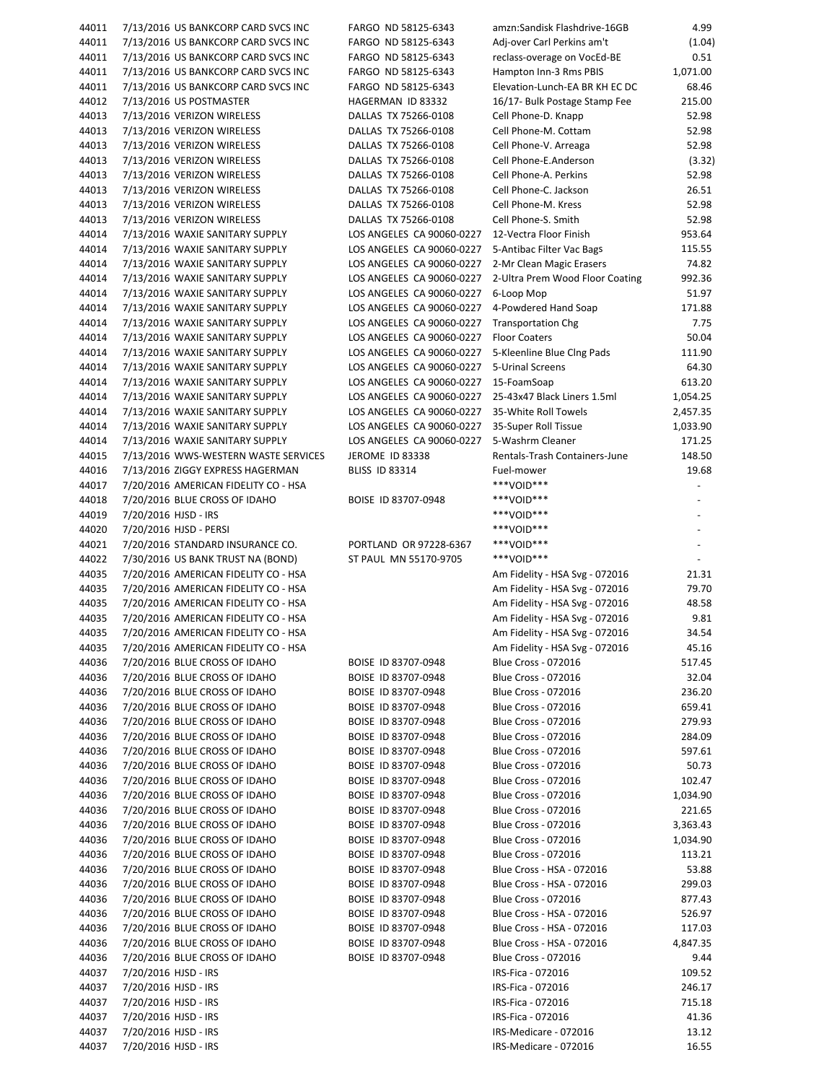| 44011          | 7/13/2016 US BANKCORP CARD SVCS INC          | FARGO ND 58125-6343       | amzn:Sandisk Flashdrive-16GB                   | 4.99                     |
|----------------|----------------------------------------------|---------------------------|------------------------------------------------|--------------------------|
| 44011          | 7/13/2016 US BANKCORP CARD SVCS INC          | FARGO ND 58125-6343       | Adj-over Carl Perkins am't                     | (1.04)                   |
| 44011          | 7/13/2016 US BANKCORP CARD SVCS INC          | FARGO ND 58125-6343       | reclass-overage on VocEd-BE                    | 0.51                     |
| 44011          | 7/13/2016 US BANKCORP CARD SVCS INC          | FARGO ND 58125-6343       | Hampton Inn-3 Rms PBIS                         | 1,071.00                 |
| 44011          | 7/13/2016 US BANKCORP CARD SVCS INC          | FARGO ND 58125-6343       | Elevation-Lunch-EA BR KH EC DC                 | 68.46                    |
| 44012          | 7/13/2016 US POSTMASTER                      | HAGERMAN ID 83332         | 16/17- Bulk Postage Stamp Fee                  | 215.00                   |
|                |                                              |                           |                                                |                          |
| 44013          | 7/13/2016 VERIZON WIRELESS                   | DALLAS TX 75266-0108      | Cell Phone-D. Knapp                            | 52.98                    |
| 44013          | 7/13/2016 VERIZON WIRELESS                   | DALLAS TX 75266-0108      | Cell Phone-M. Cottam                           | 52.98                    |
| 44013          | 7/13/2016 VERIZON WIRELESS                   | DALLAS TX 75266-0108      | Cell Phone-V. Arreaga                          | 52.98                    |
| 44013          | 7/13/2016 VERIZON WIRELESS                   | DALLAS TX 75266-0108      | Cell Phone-E.Anderson                          | (3.32)                   |
| 44013          | 7/13/2016 VERIZON WIRELESS                   | DALLAS TX 75266-0108      | Cell Phone-A. Perkins                          | 52.98                    |
| 44013          | 7/13/2016 VERIZON WIRELESS                   | DALLAS TX 75266-0108      | Cell Phone-C. Jackson                          | 26.51                    |
| 44013          | 7/13/2016 VERIZON WIRELESS                   | DALLAS TX 75266-0108      | Cell Phone-M. Kress                            | 52.98                    |
| 44013          | 7/13/2016 VERIZON WIRELESS                   | DALLAS TX 75266-0108      | Cell Phone-S. Smith                            | 52.98                    |
|                |                                              |                           |                                                |                          |
| 44014          | 7/13/2016 WAXIE SANITARY SUPPLY              | LOS ANGELES CA 90060-0227 | 12-Vectra Floor Finish                         | 953.64                   |
| 44014          | 7/13/2016 WAXIE SANITARY SUPPLY              | LOS ANGELES CA 90060-0227 | 5-Antibac Filter Vac Bags                      | 115.55                   |
| 44014          | 7/13/2016 WAXIE SANITARY SUPPLY              | LOS ANGELES CA 90060-0227 | 2-Mr Clean Magic Erasers                       | 74.82                    |
| 44014          | 7/13/2016 WAXIE SANITARY SUPPLY              | LOS ANGELES CA 90060-0227 | 2-Ultra Prem Wood Floor Coating                | 992.36                   |
| 44014          | 7/13/2016 WAXIE SANITARY SUPPLY              | LOS ANGELES CA 90060-0227 | 6-Loop Mop                                     | 51.97                    |
| 44014          | 7/13/2016 WAXIE SANITARY SUPPLY              | LOS ANGELES CA 90060-0227 | 4-Powdered Hand Soap                           | 171.88                   |
| 44014          | 7/13/2016 WAXIE SANITARY SUPPLY              | LOS ANGELES CA 90060-0227 | <b>Transportation Chg</b>                      | 7.75                     |
| 44014          | 7/13/2016 WAXIE SANITARY SUPPLY              | LOS ANGELES CA 90060-0227 | <b>Floor Coaters</b>                           | 50.04                    |
| 44014          | 7/13/2016 WAXIE SANITARY SUPPLY              | LOS ANGELES CA 90060-0227 | 5-Kleenline Blue Clng Pads                     | 111.90                   |
| 44014          | 7/13/2016 WAXIE SANITARY SUPPLY              | LOS ANGELES CA 90060-0227 | 5-Urinal Screens                               | 64.30                    |
|                |                                              |                           |                                                |                          |
| 44014          | 7/13/2016 WAXIE SANITARY SUPPLY              | LOS ANGELES CA 90060-0227 | 15-FoamSoap                                    | 613.20                   |
| 44014          | 7/13/2016 WAXIE SANITARY SUPPLY              | LOS ANGELES CA 90060-0227 | 25-43x47 Black Liners 1.5ml                    | 1,054.25                 |
| 44014          | 7/13/2016 WAXIE SANITARY SUPPLY              | LOS ANGELES CA 90060-0227 | 35-White Roll Towels                           | 2,457.35                 |
| 44014          | 7/13/2016 WAXIE SANITARY SUPPLY              | LOS ANGELES CA 90060-0227 | 35-Super Roll Tissue                           | 1,033.90                 |
| 44014          | 7/13/2016 WAXIE SANITARY SUPPLY              | LOS ANGELES CA 90060-0227 | 5-Washrm Cleaner                               | 171.25                   |
| 44015          | 7/13/2016 WWS-WESTERN WASTE SERVICES         | JEROME ID 83338           | Rentals-Trash Containers-June                  | 148.50                   |
| 44016          | 7/13/2016 ZIGGY EXPRESS HAGERMAN             | <b>BLISS ID 83314</b>     | Fuel-mower                                     | 19.68                    |
| 44017          | 7/20/2016 AMERICAN FIDELITY CO - HSA         |                           | ***VOID***                                     |                          |
| 44018          | 7/20/2016 BLUE CROSS OF IDAHO                | BOISE ID 83707-0948       | ***VOID***                                     | $\overline{\phantom{a}}$ |
|                |                                              |                           | ***VOID***                                     | $\overline{a}$           |
| 44019          | 7/20/2016 HJSD - IRS                         |                           |                                                |                          |
| 44020          | 7/20/2016 HJSD - PERSI                       |                           | ***VOID***                                     |                          |
| 44021          | 7/20/2016 STANDARD INSURANCE CO.             | PORTLAND OR 97228-6367    | ***VOID***                                     |                          |
| 44022          | 7/30/2016 US BANK TRUST NA (BOND)            | ST PAUL MN 55170-9705     | ***VOID***                                     |                          |
| 44035          | 7/20/2016 AMERICAN FIDELITY CO - HSA         |                           | Am Fidelity - HSA Svg - 072016                 | 21.31                    |
| 44035          | 7/20/2016 AMERICAN FIDELITY CO - HSA         |                           | Am Fidelity - HSA Svg - 072016                 | 79.70                    |
| 44035          | 7/20/2016 AMERICAN FIDELITY CO - HSA         |                           | Am Fidelity - HSA Svg - 072016                 | 48.58                    |
| 44035          | 7/20/2016 AMERICAN FIDELITY CO - HSA         |                           | Am Fidelity - HSA Svg - 072016                 | 9.81                     |
| 44035          | 7/20/2016 AMERICAN FIDELITY CO - HSA         |                           | Am Fidelity - HSA Svg - 072016                 | 34.54                    |
| 44035          | 7/20/2016 AMERICAN FIDELITY CO - HSA         |                           | Am Fidelity - HSA Svg - 072016                 | 45.16                    |
| 44036          | 7/20/2016 BLUE CROSS OF IDAHO                |                           |                                                | 517.45                   |
|                |                                              | BOISE ID 83707-0948       | <b>Blue Cross - 072016</b>                     |                          |
| 44036          | 7/20/2016 BLUE CROSS OF IDAHO                | BOISE ID 83707-0948       | <b>Blue Cross - 072016</b>                     | 32.04                    |
| 44036          | 7/20/2016 BLUE CROSS OF IDAHO                | BOISE ID 83707-0948       | <b>Blue Cross - 072016</b>                     | 236.20                   |
| 44036          | 7/20/2016 BLUE CROSS OF IDAHO                | BOISE ID 83707-0948       | <b>Blue Cross - 072016</b>                     | 659.41                   |
| 44036          | 7/20/2016 BLUE CROSS OF IDAHO                | BOISE ID 83707-0948       | <b>Blue Cross - 072016</b>                     | 279.93                   |
| 44036          | 7/20/2016 BLUE CROSS OF IDAHO                | BOISE ID 83707-0948       | <b>Blue Cross - 072016</b>                     | 284.09                   |
| 44036          | 7/20/2016 BLUE CROSS OF IDAHO                | BOISE ID 83707-0948       | <b>Blue Cross - 072016</b>                     | 597.61                   |
| 44036          | 7/20/2016 BLUE CROSS OF IDAHO                | BOISE ID 83707-0948       | <b>Blue Cross - 072016</b>                     | 50.73                    |
| 44036          | 7/20/2016 BLUE CROSS OF IDAHO                | BOISE ID 83707-0948       | <b>Blue Cross - 072016</b>                     | 102.47                   |
| 44036          | 7/20/2016 BLUE CROSS OF IDAHO                | BOISE ID 83707-0948       | <b>Blue Cross - 072016</b>                     | 1,034.90                 |
|                |                                              |                           |                                                |                          |
| 44036          | 7/20/2016 BLUE CROSS OF IDAHO                | BOISE ID 83707-0948       | <b>Blue Cross - 072016</b>                     | 221.65                   |
| 44036          | 7/20/2016 BLUE CROSS OF IDAHO                | BOISE ID 83707-0948       | <b>Blue Cross - 072016</b>                     | 3,363.43                 |
| 44036          | 7/20/2016 BLUE CROSS OF IDAHO                | BOISE ID 83707-0948       | <b>Blue Cross - 072016</b>                     | 1,034.90                 |
| 44036          | 7/20/2016 BLUE CROSS OF IDAHO                | BOISE ID 83707-0948       | <b>Blue Cross - 072016</b>                     | 113.21                   |
| 44036          | 7/20/2016 BLUE CROSS OF IDAHO                | BOISE ID 83707-0948       | Blue Cross - HSA - 072016                      | 53.88                    |
| 44036          | 7/20/2016 BLUE CROSS OF IDAHO                | BOISE ID 83707-0948       | Blue Cross - HSA - 072016                      | 299.03                   |
| 44036          | 7/20/2016 BLUE CROSS OF IDAHO                | BOISE ID 83707-0948       | <b>Blue Cross - 072016</b>                     | 877.43                   |
| 44036          | 7/20/2016 BLUE CROSS OF IDAHO                | BOISE ID 83707-0948       | Blue Cross - HSA - 072016                      | 526.97                   |
|                |                                              |                           |                                                |                          |
| 44036          | 7/20/2016 BLUE CROSS OF IDAHO                | BOISE ID 83707-0948       | Blue Cross - HSA - 072016                      | 117.03                   |
| 44036          | 7/20/2016 BLUE CROSS OF IDAHO                | BOISE ID 83707-0948       | Blue Cross - HSA - 072016                      | 4,847.35                 |
| 44036          | 7/20/2016 BLUE CROSS OF IDAHO                | BOISE ID 83707-0948       | <b>Blue Cross - 072016</b>                     | 9.44                     |
| 44037          | 7/20/2016 HJSD - IRS                         |                           | IRS-Fica - 072016                              | 109.52                   |
| 44037          | 7/20/2016 HJSD - IRS                         |                           | IRS-Fica - 072016                              | 246.17                   |
|                |                                              |                           | IRS-Fica - 072016                              | 715.18                   |
| 44037          | 7/20/2016 HJSD - IRS                         |                           |                                                |                          |
|                |                                              |                           | IRS-Fica - 072016                              | 41.36                    |
| 44037          | 7/20/2016 HJSD - IRS                         |                           |                                                |                          |
| 44037<br>44037 | 7/20/2016 HJSD - IRS<br>7/20/2016 HJSD - IRS |                           | IRS-Medicare - 072016<br>IRS-Medicare - 072016 | 13.12<br>16.55           |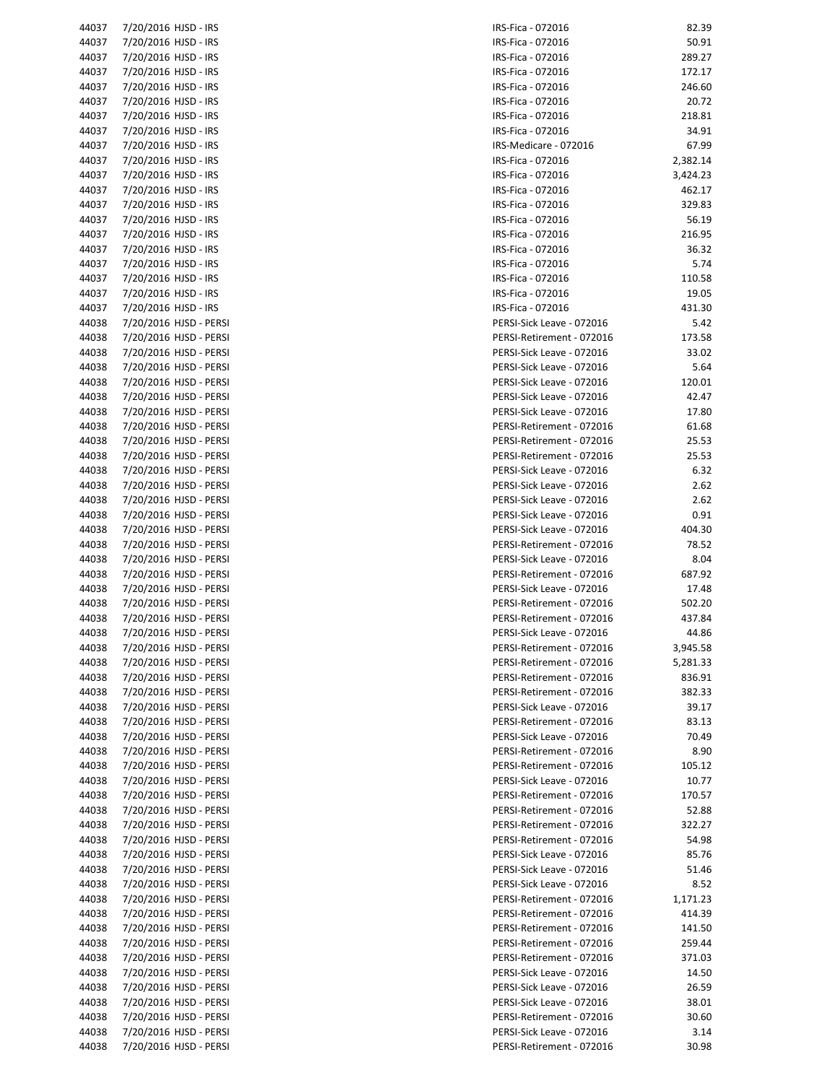| 44037 |                                           |
|-------|-------------------------------------------|
|       | 7/20/2016<br>HJSD - IRS                   |
| 44037 | 7/20/2016<br>HJSD - IRS                   |
|       |                                           |
| 44037 | 7/20/2016<br>HJSD - IRS                   |
| 44037 | HJSD - IRS<br>7/20/2016                   |
| 44037 | HJSD - IRS<br>7/20/2016                   |
|       |                                           |
| 44037 | HJSD - IRS<br>7/20/2016                   |
| 44037 | 7/20/2016<br>HJSD - IRS                   |
| 44037 | 7/20/2016<br>HJSD - IRS                   |
|       |                                           |
| 44037 | 7/20/2016<br>HJSD - IRS                   |
| 44037 | HJSD - IRS<br>7/20/2016                   |
| 44037 | 7/20/2016<br>HJSD - IRS                   |
| 44037 | HJSD - IRS                                |
|       | 7/20/2016                                 |
| 44037 | 7/20/2016<br>HJSD - IRS                   |
| 44037 | HJSD - IRS<br>7/20/2016                   |
| 44037 | HJSD - IRS<br>7/20/2016                   |
| 44037 | HJSD - IRS                                |
|       | 7/20/2016                                 |
| 44037 | 7/20/2016<br>HJSD - IRS                   |
| 44037 | 7/20/2016<br>HJSD - IRS                   |
| 44037 | 7/20/2016<br>HJSD - IRS                   |
|       | HJSD - IRS                                |
| 44037 | 7/20/2016                                 |
| 44038 | HJSD - PERSI<br>7/20/2016                 |
| 44038 | 7/20/2016<br>HJSD - PERSI                 |
| 44038 | 7/20/2016<br>HJSD - PERSI                 |
|       |                                           |
| 44038 | <b>HJSD - PERSI</b><br>7/20/2016          |
| 44038 | HJSD - PERSI<br>7/20/2016                 |
| 44038 | HJSD - PERSI<br>7/20/2016                 |
| 44038 | 7/20/2016<br>HJSD - PERSI                 |
|       |                                           |
| 44038 | 7/20/2016<br>HJSD - PERSI                 |
| 44038 | HJSD - PERSI<br>7/20/2016                 |
| 44038 | HJSD - PERSI<br>7/20/2016                 |
| 44038 | HJSD - PERSI<br>7/20/2016                 |
|       |                                           |
| 44038 | 7/20/2016<br>HJSD - PERSI                 |
| 44038 | HJSD - PERSI<br>7/20/2016                 |
| 44038 | HJSD - PERSI<br>7/20/2016                 |
| 44038 | HJSD - PERSI<br>7/20/2016                 |
|       |                                           |
| 44038 | HJSD - PERSI<br>7/20/2016                 |
| 44038 | 7/20/2016<br><b>HJSD - PERSI</b>          |
|       |                                           |
| 44038 | 7/20/2016<br>HJSD - PERSI                 |
|       |                                           |
| 44038 | 7/20/2016<br><b>HJSD - PERSI</b>          |
| 44038 | HJSD - PERSI<br>7/20/2016                 |
| 44038 | HJSD - PERSI<br>7/20/2016                 |
|       |                                           |
| 44038 | 7/20/2016<br>HJSD - PERSI                 |
| 44038 | 7/20/2016<br>HJSD - PERSI                 |
| 44038 | HJSD - PERSI<br>7/20/2016                 |
| 44038 | HJSD - PERSI<br>7/20/2016                 |
|       |                                           |
| 44038 | HJSD - PERSI<br>7/20/2016                 |
| 44038 | 7/20/2016<br>HJSD - PERSI                 |
| 44038 | HJSD - PERSI<br>7/20/2016                 |
| 44038 | HJSD - PERSI<br>7/20/2016                 |
|       |                                           |
| 44038 | HJSD - PERSI<br>7/20/2016                 |
| 44038 | HJSD - PERSI<br>7/20/2016                 |
| 44038 | 7/20/2016<br>HJSD - PERSI                 |
| 44038 | 7/20/2016<br>HJSD - PERSI                 |
|       |                                           |
| 44038 | HJSD - PERSI<br>7/20/2016                 |
| 44038 | HJSD - PERSI<br>7/20/2016                 |
| 44038 | HJSD - PERSI<br>7/20/2016                 |
| 44038 | 7/20/2016<br>HJSD - PERSI                 |
| 44038 |                                           |
|       | HJSD - PERSI<br>7/20/2016                 |
| 44038 | HJSD - PERSI<br>7/20/2016                 |
| 44038 | HJSD - PERSI<br>7/20/2016                 |
| 44038 | HJSD - PERSI<br>7/20/2016                 |
| 44038 |                                           |
|       | 7/20/2016<br>HJSD - PERSI                 |
| 44038 | 7/20/2016<br>HJSD - PERSI                 |
| 44038 | HJSD - PERSI<br>7/20/2016                 |
| 44038 | HJSD - PERSI<br>7/20/2016                 |
| 44038 | HJSD - PERSI<br>7/20/2016                 |
|       |                                           |
| 44038 | HJSD - PERSI<br>7/20/2016                 |
| 44038 | HJSD - PERSI<br>7/20/2016                 |
| 44038 | HJSD - PERSI<br>7/20/2016<br>HJSD - PERSI |

| 44037 | 7/20/2016 HJSD - IRS   | IRS-Fica - 072016         | 82.39    |
|-------|------------------------|---------------------------|----------|
| 44037 | 7/20/2016 HJSD - IRS   | IRS-Fica - 072016         | 50.91    |
|       |                        |                           |          |
| 44037 | 7/20/2016 HJSD - IRS   | IRS-Fica - 072016         | 289.27   |
| 44037 | 7/20/2016 HJSD - IRS   | IRS-Fica - 072016         | 172.17   |
| 44037 | 7/20/2016 HJSD - IRS   | IRS-Fica - 072016         | 246.60   |
| 44037 | 7/20/2016 HJSD - IRS   | IRS-Fica - 072016         | 20.72    |
| 44037 | 7/20/2016 HJSD - IRS   | IRS-Fica - 072016         | 218.81   |
|       |                        |                           |          |
| 44037 | 7/20/2016 HJSD - IRS   | IRS-Fica - 072016         | 34.91    |
| 44037 | 7/20/2016 HJSD - IRS   | IRS-Medicare - 072016     | 67.99    |
| 44037 | 7/20/2016 HJSD - IRS   | IRS-Fica - 072016         | 2,382.14 |
| 44037 | 7/20/2016 HJSD - IRS   | IRS-Fica - 072016         | 3,424.23 |
| 44037 | 7/20/2016 HJSD - IRS   | IRS-Fica - 072016         | 462.17   |
| 44037 |                        | IRS-Fica - 072016         | 329.83   |
|       | 7/20/2016 HJSD - IRS   |                           |          |
| 44037 | 7/20/2016 HJSD - IRS   | IRS-Fica - 072016         | 56.19    |
| 44037 | 7/20/2016 HJSD - IRS   | IRS-Fica - 072016         | 216.95   |
| 44037 | 7/20/2016 HJSD - IRS   | IRS-Fica - 072016         | 36.32    |
| 44037 | 7/20/2016 HJSD - IRS   | IRS-Fica - 072016         | 5.74     |
|       |                        |                           |          |
| 44037 | 7/20/2016 HJSD - IRS   | IRS-Fica - 072016         | 110.58   |
| 44037 | 7/20/2016 HJSD - IRS   | IRS-Fica - 072016         | 19.05    |
| 44037 | 7/20/2016 HJSD - IRS   | IRS-Fica - 072016         | 431.30   |
| 44038 | 7/20/2016 HJSD - PERSI | PERSI-Sick Leave - 072016 | 5.42     |
| 44038 | 7/20/2016 HJSD - PERSI | PERSI-Retirement - 072016 | 173.58   |
|       |                        |                           |          |
| 44038 | 7/20/2016 HJSD - PERSI | PERSI-Sick Leave - 072016 | 33.02    |
| 44038 | 7/20/2016 HJSD - PERSI | PERSI-Sick Leave - 072016 | 5.64     |
| 44038 | 7/20/2016 HJSD - PERSI | PERSI-Sick Leave - 072016 | 120.01   |
| 44038 | 7/20/2016 HJSD - PERSI | PERSI-Sick Leave - 072016 | 42.47    |
| 44038 | 7/20/2016 HJSD - PERSI | PERSI-Sick Leave - 072016 | 17.80    |
|       |                        |                           |          |
| 44038 | 7/20/2016 HJSD - PERSI | PERSI-Retirement - 072016 | 61.68    |
| 44038 | 7/20/2016 HJSD - PERSI | PERSI-Retirement - 072016 | 25.53    |
| 44038 | 7/20/2016 HJSD - PERSI | PERSI-Retirement - 072016 | 25.53    |
| 44038 | 7/20/2016 HJSD - PERSI | PERSI-Sick Leave - 072016 | 6.32     |
| 44038 | 7/20/2016 HJSD - PERSI | PERSI-Sick Leave - 072016 | 2.62     |
|       |                        |                           |          |
| 44038 | 7/20/2016 HJSD - PERSI | PERSI-Sick Leave - 072016 | 2.62     |
| 44038 | 7/20/2016 HJSD - PERSI | PERSI-Sick Leave - 072016 | 0.91     |
| 44038 | 7/20/2016 HJSD - PERSI | PERSI-Sick Leave - 072016 | 404.30   |
| 44038 | 7/20/2016 HJSD - PERSI | PERSI-Retirement - 072016 | 78.52    |
| 44038 | 7/20/2016 HJSD - PERSI | PERSI-Sick Leave - 072016 | 8.04     |
|       |                        |                           |          |
| 44038 | 7/20/2016 HJSD - PERSI | PERSI-Retirement - 072016 | 687.92   |
| 44038 | 7/20/2016 HJSD - PERSI | PERSI-Sick Leave - 072016 | 17.48    |
| 44038 | 7/20/2016 HJSD - PERSI | PERSI-Retirement - 072016 | 502.20   |
| 44038 | 7/20/2016 HJSD - PERSI | PERSI-Retirement - 072016 | 437.84   |
| 44038 | 7/20/2016 HJSD - PERSI | PERSI-Sick Leave - 072016 | 44.86    |
|       |                        |                           |          |
| 44038 | 7/20/2016 HJSD - PERSI | PERSI-Retirement - 072016 | 3,945.58 |
| 44038 | 7/20/2016 HJSD - PERSI | PERSI-Retirement - 072016 | 5,281.33 |
| 44038 | 7/20/2016 HJSD - PERSI | PERSI-Retirement - 072016 | 836.91   |
| 44038 | 7/20/2016 HJSD - PERSI | PERSI-Retirement - 072016 | 382.33   |
| 44038 | 7/20/2016 HJSD - PERSI | PERSI-Sick Leave - 072016 | 39.17    |
|       |                        |                           |          |
| 44038 | 7/20/2016 HJSD - PERSI | PERSI-Retirement - 072016 | 83.13    |
| 44038 | 7/20/2016 HJSD - PERSI | PERSI-Sick Leave - 072016 | 70.49    |
| 44038 | 7/20/2016 HJSD - PERSI | PERSI-Retirement - 072016 | 8.90     |
| 44038 | 7/20/2016 HJSD - PERSI | PERSI-Retirement - 072016 | 105.12   |
| 44038 | 7/20/2016 HJSD - PERSI |                           |          |
|       |                        | PERSI-Sick Leave - 072016 | 10.77    |
| 44038 | 7/20/2016 HJSD - PERSI | PERSI-Retirement - 072016 | 170.57   |
| 44038 | 7/20/2016 HJSD - PERSI | PERSI-Retirement - 072016 | 52.88    |
| 44038 | 7/20/2016 HJSD - PERSI | PERSI-Retirement - 072016 | 322.27   |
| 44038 | 7/20/2016 HJSD - PERSI | PERSI-Retirement - 072016 | 54.98    |
|       |                        |                           |          |
| 44038 | 7/20/2016 HJSD - PERSI | PERSI-Sick Leave - 072016 | 85.76    |
| 44038 | 7/20/2016 HJSD - PERSI | PERSI-Sick Leave - 072016 | 51.46    |
| 44038 | 7/20/2016 HJSD - PERSI | PERSI-Sick Leave - 072016 | 8.52     |
| 44038 | 7/20/2016 HJSD - PERSI | PERSI-Retirement - 072016 | 1,171.23 |
| 44038 | 7/20/2016 HJSD - PERSI | PERSI-Retirement - 072016 | 414.39   |
|       |                        |                           |          |
| 44038 | 7/20/2016 HJSD - PERSI | PERSI-Retirement - 072016 | 141.50   |
| 44038 | 7/20/2016 HJSD - PERSI | PERSI-Retirement - 072016 | 259.44   |
| 44038 | 7/20/2016 HJSD - PERSI | PERSI-Retirement - 072016 | 371.03   |
| 44038 | 7/20/2016 HJSD - PERSI | PERSI-Sick Leave - 072016 | 14.50    |
| 44038 | 7/20/2016 HJSD - PERSI | PERSI-Sick Leave - 072016 | 26.59    |
|       |                        |                           |          |
| 44038 | 7/20/2016 HJSD - PERSI | PERSI-Sick Leave - 072016 | 38.01    |
| 44038 | 7/20/2016 HJSD - PERSI | PERSI-Retirement - 072016 | 30.60    |
| 44038 | 7/20/2016 HJSD - PERSI | PERSI-Sick Leave - 072016 | 3.14     |
| 44038 | 7/20/2016 HJSD - PERSI | PERSI-Retirement - 072016 | 30.98    |
|       |                        |                           |          |